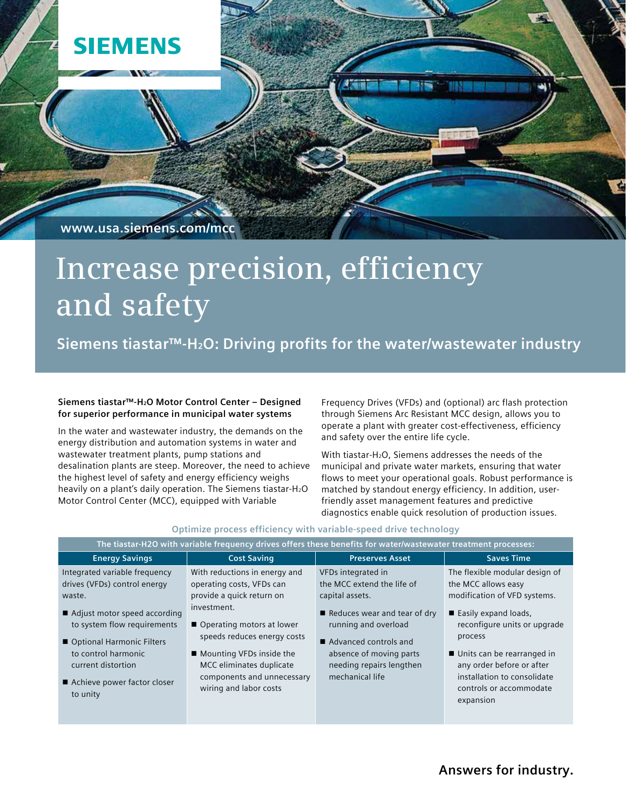**www.usa.siemens.com/mcc**

**SIEMENS** 

# **Increase precision, efficiency and safety**

**Siemens tiastar™-H2O: Driving profits for the water/wastewater industry**

# **Siemens tiastar™-H2O Motor Control Center – Designed for superior performance in municipal water systems**

In the water and wastewater industry, the demands on the energy distribution and automation systems in water and wastewater treatment plants, pump stations and desalination plants are steep. Moreover, the need to achieve the highest level of safety and energy efficiency weighs heavily on a plant's daily operation. The Siemens tiastar-H<sub>2</sub>O Motor Control Center (MCC), equipped with Variable

Frequency Drives (VFDs) and (optional) arc flash protection through Siemens Arc Resistant MCC design, allows you to operate a plant with greater cost-effectiveness, efficiency and safety over the entire life cycle.

With tiastar-H<sub>2</sub>O, Siemens addresses the needs of the municipal and private water markets, ensuring that water flows to meet your operational goals. Robust performance is matched by standout energy efficiency. In addition, userfriendly asset management features and predictive diagnostics enable quick resolution of production issues.

| The tiastar-H2O with variable frequency drives offers these benefits for water/wastewater treatment processes:                                                                                                                                                    |                                                                                                                                                                                                                                                                                        |                                                                                                                                                                                                                                |                                                                                                                                                                                                                                                                                                |
|-------------------------------------------------------------------------------------------------------------------------------------------------------------------------------------------------------------------------------------------------------------------|----------------------------------------------------------------------------------------------------------------------------------------------------------------------------------------------------------------------------------------------------------------------------------------|--------------------------------------------------------------------------------------------------------------------------------------------------------------------------------------------------------------------------------|------------------------------------------------------------------------------------------------------------------------------------------------------------------------------------------------------------------------------------------------------------------------------------------------|
| <b>Energy Savings</b>                                                                                                                                                                                                                                             | <b>Cost Saving</b>                                                                                                                                                                                                                                                                     | <b>Preserves Asset</b>                                                                                                                                                                                                         | <b>Saves Time</b>                                                                                                                                                                                                                                                                              |
| Integrated variable frequency<br>drives (VFDs) control energy<br>waste.<br>■ Adjust motor speed according<br>to system flow requirements<br>■ Optional Harmonic Filters<br>to control harmonic<br>current distortion<br>■ Achieve power factor closer<br>to unity | With reductions in energy and<br>operating costs, VFDs can<br>provide a quick return on<br>investment.<br>■ Operating motors at lower<br>speeds reduces energy costs<br>■ Mounting VFDs inside the<br>MCC eliminates duplicate<br>components and unnecessary<br>wiring and labor costs | VFDs integrated in<br>the MCC extend the life of<br>capital assets.<br>Reduces wear and tear of dry<br>running and overload<br>Advanced controls and<br>absence of moving parts<br>needing repairs lengthen<br>mechanical life | The flexible modular design of<br>the MCC allows easy<br>modification of VFD systems.<br>■ Easily expand loads,<br>reconfigure units or upgrade<br>process<br>■ Units can be rearranged in<br>any order before or after<br>installation to consolidate<br>controls or accommodate<br>expansion |
|                                                                                                                                                                                                                                                                   |                                                                                                                                                                                                                                                                                        |                                                                                                                                                                                                                                |                                                                                                                                                                                                                                                                                                |

### **Optimize process efficiency with variable-speed drive technology**